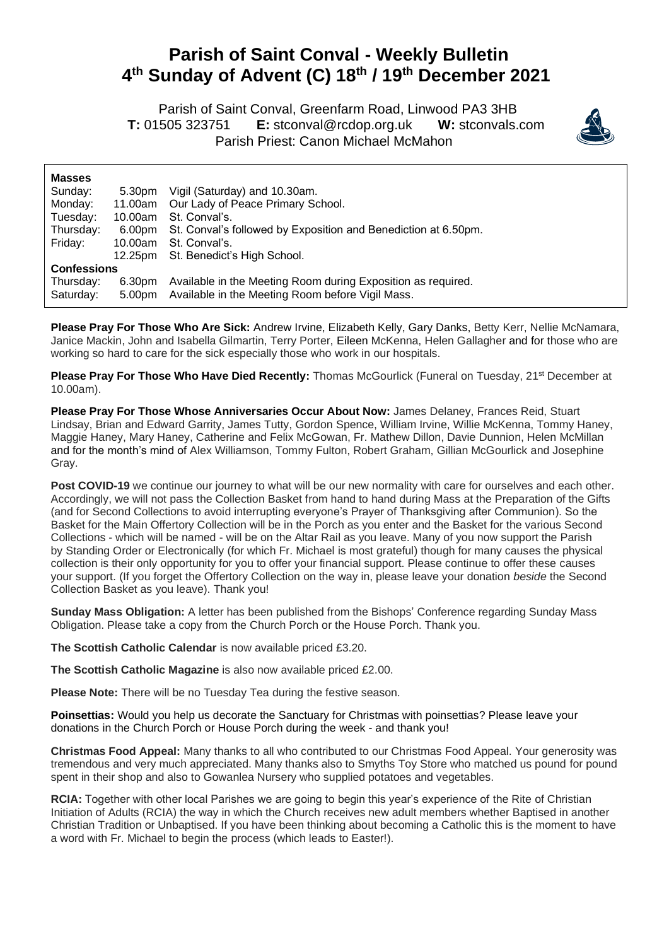## **Parish of Saint Conval - Weekly Bulletin 4 th Sunday of Advent (C) 18 th / 19 th December 2021**

 Parish of Saint Conval, Greenfarm Road, Linwood PA3 3HB **T:** 01505 323751 **E:** [stconval@rcdop.org.uk](mailto:stconval@rcdop.org.uk) **W:** stconvals.com Parish Priest: Canon Michael McMahon



| <b>Masses</b>      |         |                                                                       |  |
|--------------------|---------|-----------------------------------------------------------------------|--|
| Sunday:            | 5.30pm  | Vigil (Saturday) and 10.30am.                                         |  |
| Monday:            |         | 11.00am Our Lady of Peace Primary School.                             |  |
| Tuesday:           | 10.00am | St. Conval's.                                                         |  |
| Thursday:          |         | 6.00pm St. Conval's followed by Exposition and Benediction at 6.50pm. |  |
| Friday:            | 10.00am | St. Conval's.                                                         |  |
|                    |         | 12.25pm St. Benedict's High School.                                   |  |
| <b>Confessions</b> |         |                                                                       |  |
| Thursday:          | 6.30pm  | Available in the Meeting Room during Exposition as required.          |  |
| Saturday:          |         | 5.00pm Available in the Meeting Room before Vigil Mass.               |  |

**Please Pray For Those Who Are Sick:** Andrew Irvine, Elizabeth Kelly, Gary Danks, Betty Kerr, Nellie McNamara, Janice Mackin, John and Isabella Gilmartin, Terry Porter, Eileen McKenna, Helen Gallagher and for those who are working so hard to care for the sick especially those who work in our hospitals.

**Please Pray For Those Who Have Died Recently:** Thomas McGourlick (Funeral on Tuesday, 21<sup>st</sup> December at 10.00am).

**Please Pray For Those Whose Anniversaries Occur About Now:** James Delaney, Frances Reid, Stuart Lindsay, Brian and Edward Garrity, James Tutty, Gordon Spence, William Irvine, Willie McKenna, Tommy Haney, Maggie Haney, Mary Haney, Catherine and Felix McGowan, Fr. Mathew Dillon, Davie Dunnion, Helen McMillan and for the month's mind of Alex Williamson, Tommy Fulton, Robert Graham, Gillian McGourlick and Josephine Gray.

Post COVID-19 we continue our journey to what will be our new normality with care for ourselves and each other. Accordingly, we will not pass the Collection Basket from hand to hand during Mass at the Preparation of the Gifts (and for Second Collections to avoid interrupting everyone's Prayer of Thanksgiving after Communion). So the Basket for the Main Offertory Collection will be in the Porch as you enter and the Basket for the various Second Collections - which will be named - will be on the Altar Rail as you leave. Many of you now support the Parish by Standing Order or Electronically (for which Fr. Michael is most grateful) though for many causes the physical collection is their only opportunity for you to offer your financial support. Please continue to offer these causes your support. (If you forget the Offertory Collection on the way in, please leave your donation *beside* the Second Collection Basket as you leave). Thank you!

**Sunday Mass Obligation:** A letter has been published from the Bishops' Conference regarding Sunday Mass Obligation. Please take a copy from the Church Porch or the House Porch. Thank you.

**The Scottish Catholic Calendar** is now available priced £3.20.

**The Scottish Catholic Magazine** is also now available priced £2.00.

**Please Note:** There will be no Tuesday Tea during the festive season.

**Poinsettias:** Would you help us decorate the Sanctuary for Christmas with poinsettias? Please leave your donations in the Church Porch or House Porch during the week - and thank you!

**Christmas Food Appeal:** Many thanks to all who contributed to our Christmas Food Appeal. Your generosity was tremendous and very much appreciated. Many thanks also to Smyths Toy Store who matched us pound for pound spent in their shop and also to Gowanlea Nursery who supplied potatoes and vegetables.

**RCIA:** Together with other local Parishes we are going to begin this year's experience of the Rite of Christian Initiation of Adults (RCIA) the way in which the Church receives new adult members whether Baptised in another Christian Tradition or Unbaptised. If you have been thinking about becoming a Catholic this is the moment to have a word with Fr. Michael to begin the process (which leads to Easter!).